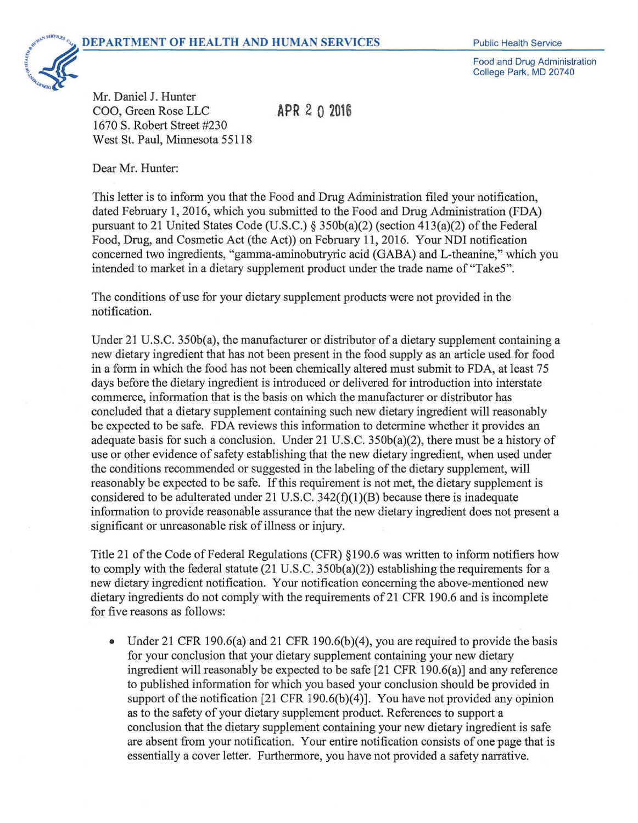

Food and Drug Administration College Park, MD 20740

Mr. Daniel J. Hunter COO, Green Rose LLC 1670 S. Robert Street #230 West St. Paul, Minnesota 55118

**APR** 2 0 **<sup>2016</sup>**

Dear Mr. Hunter:

This letter is to inform you that the Food and Drug Administration filed your notification, dated February 1, 2016, which you submitted to the Food and Drug Administration (FDA) pursuant to 21 United States Code (U.S.C.) § 350b(a)(2) (section 413(a)(2) of the Federal Food, Drug, and Cosmetic Act (the Act)) on February 11, 2016. Your NDI notification concerned two ingredients, "gamma-aminobutryric acid (GABA) and L-theanine," which you intended to market in a dietary supplement product under the trade name of "Take5".

The conditions of use for your dietary supplement products were not provided in the notification.

Under 21 U.S.C. 350b(a), the manufacturer or distributor of a dietary supplement containing a new dietary ingredient that has not been present in the food supply as an article used for food in a form in which the food has not been chemically altered must submit to FDA, at least 75 days before the dietary ingredient is introduced or delivered for introduction into interstate commerce, information that is the basis on which the manufacturer or distributor has concluded that a dietary supplement containing such new dietary ingredient will reasonably be expected to be safe. FDA reviews this information to detennine whether it provides an adequate basis for such a conclusion. Under 21 U.S.C. 350b(a)(2), there must be a history of use or other evidence of safety establishing that the new dietary ingredient, when used under the conditions recommended or suggested in the labeling of the dietary supplement, will reasonably be expected to be safe. If this requirement is not met, the dietary supplement is considered to be adulterated under 21 U.S.C. 342(f)(1)(B) because there is inadequate information to provide reasonable assurance that the new dietary ingredient does not present a significant or unreasonable risk of illness or injury.

Title 21 of the Code of Federal Regulations (CFR) §190.6 was written to inform notifiers how to comply with the federal statute (21 U.S.C. 350b(a)(2)) establishing the requirements for a new dietary ingredient notification. Your notification concerning the above-mentioned new dietary ingredients do not comply with the requirements of 21 CFR 190.6 and is incomplete for five reasons as follows:

Under 21 CFR 190.6(a) and 21 CFR 190.6(b)(4), you are required to provide the basis for your conclusion that your dietary supplement containing your new dietary ingredient will reasonably be expected to be safe [21 CFR 190.6(a)] and any reference to published information for which you based your conclusion should be provided in support of the notification [21 CFR 190.6(b)(4)]. You have not provided any opinion as to the safety of your dietary supplement product. References to support a conclusion that the dietary supplement containing your new dietary ingredient is safe are absent from your notification. Your entire notification consists of one page that is essentially a cover letter. Furthermore, you have not provided a safety narrative.